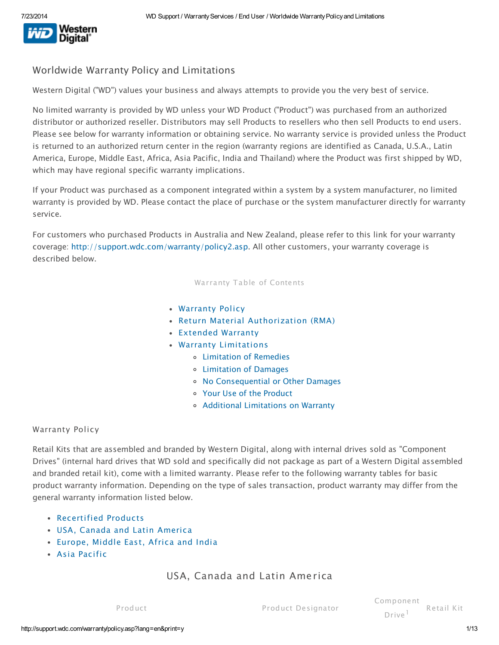

# Worldwide Warranty Policy and Limitations

Western Digital ("WD") values your business and always attempts to provide you the very best of service.

No limited warranty is provided by WD unless your WD Product ("Product") was purchased from an authorized distributor or authorized reseller. Distributors may sell Products to resellers who then sell Products to end users. Please see below for warranty information or obtaining service. No warranty service is provided unless the Product is returned to an authorized return center in the region (warranty regions are identified as Canada, U.S.A., Latin America, Europe, Middle East, Africa, Asia Pacific, India and Thailand) where the Product was first shipped by WD, which may have regional specific warranty implications.

If your Product was purchased as a component integrated within a system by a system manufacturer, no limited warranty is provided by WD. Please contact the place of purchase or the system manufacturer directly for warranty service.

For customers who purchased Products in Australia and New Zealand, please refer to this link for your warranty coverage: <http://support.wdc.com/warranty/policy2.asp>. All other customers, your warranty coverage is described below.

### Warranty Table of Contents

- Warranty Policy
- Return Material Authorization (RMA)
- Extended Warranty
- Warranty Limitations
	- Limitation of Remedies
	- Limitation of Damages
	- No Consequential or Other Damages
	- Your Use of the Product
	- Additional Limitations on Warranty

### Warranty Policy

Retail Kits that are assembled and branded by Western Digital, along with internal drives sold as "Component Drives" (internal hard drives that WD sold and specifically did not package as part of a Western Digital assembled and branded retail kit), come with a limited warranty. Please refer to the following warranty tables for basic product warranty information. Depending on the type of sales transaction, product warranty may differ from the general warranty information listed below.

- Recertified Products
- USA, Canada and Latin America
- Europe, Middle East, Africa and India
- Asia Pacific

# USA, Canada and Latin America

Product Product Designator

Component Drive 1 Retail Kit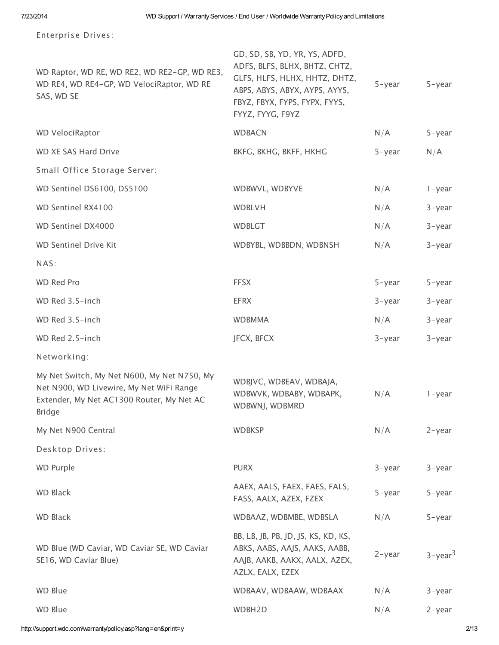|  |  |  | Enterprise Drives: |  |
|--|--|--|--------------------|--|
|--|--|--|--------------------|--|

| WD Raptor, WD RE, WD RE2, WD RE2-GP, WD RE3,<br>WD RE4, WD RE4-GP, WD VelociRaptor, WD RE<br>SAS, WD SE                                        | GD, SD, SB, YD, YR, YS, ADFD,<br>ADFS, BLFS, BLHX, BHTZ, CHTZ,<br>GLFS, HLFS, HLHX, HHTZ, DHTZ,<br>ABPS, ABYS, ABYX, AYPS, AYYS,<br>FBYZ, FBYX, FYPS, FYPX, FYYS,<br>FYYZ, FYYG, F9YZ | $5 - year$ | 5-year                 |
|------------------------------------------------------------------------------------------------------------------------------------------------|---------------------------------------------------------------------------------------------------------------------------------------------------------------------------------------|------------|------------------------|
| <b>WD VelociRaptor</b>                                                                                                                         | <b>WDBACN</b>                                                                                                                                                                         | N/A        | 5-year                 |
| WD XE SAS Hard Drive                                                                                                                           | BKFG, BKHG, BKFF, HKHG                                                                                                                                                                | $5 - year$ | N/A                    |
| Small Office Storage Server:                                                                                                                   |                                                                                                                                                                                       |            |                        |
| WD Sentinel DS6100, DS5100                                                                                                                     | WDBWVL, WDBYVE                                                                                                                                                                        | N/A        | 1-year                 |
| WD Sentinel RX4100                                                                                                                             | <b>WDBLVH</b>                                                                                                                                                                         | N/A        | 3-year                 |
| WD Sentinel DX4000                                                                                                                             | <b>WDBLGT</b>                                                                                                                                                                         | N/A        | $3$ -year              |
| <b>WD Sentinel Drive Kit</b>                                                                                                                   | WDBYBL, WDBBDN, WDBNSH                                                                                                                                                                | N/A        | 3-year                 |
| NAS:                                                                                                                                           |                                                                                                                                                                                       |            |                        |
| WD Red Pro                                                                                                                                     | <b>FFSX</b>                                                                                                                                                                           | $5 - year$ | $5 - year$             |
| WD Red 3.5-inch                                                                                                                                | <b>EFRX</b>                                                                                                                                                                           | $3$ -year  | $3$ -year              |
| WD Red 3.5-inch                                                                                                                                | <b>WDBMMA</b>                                                                                                                                                                         | N/A        | $3$ -year              |
| WD Red 2.5-inch                                                                                                                                | JFCX, BFCX                                                                                                                                                                            | $3$ -year  | 3-year                 |
| Networking:                                                                                                                                    |                                                                                                                                                                                       |            |                        |
| My Net Switch, My Net N600, My Net N750, My<br>Net N900, WD Livewire, My Net WiFi Range<br>Extender, My Net AC1300 Router, My Net AC<br>Bridge | WDBJVC, WDBEAV, WDBAJA,<br>WDBWVK, WDBABY, WDBAPK,<br>WDBWNJ, WDBMRD                                                                                                                  | N/A        | 1-year                 |
| My Net N900 Central                                                                                                                            | <b>WDBKSP</b>                                                                                                                                                                         | N/A        | 2-year                 |
| Desktop Drives:                                                                                                                                |                                                                                                                                                                                       |            |                        |
| <b>WD Purple</b>                                                                                                                               | <b>PURX</b>                                                                                                                                                                           | $3$ -year  | $3$ -year              |
| <b>WD Black</b>                                                                                                                                | AAEX, AALS, FAEX, FAES, FALS,<br>FASS, AALX, AZEX, FZEX                                                                                                                               | $5 - year$ | 5-year                 |
| <b>WD Black</b>                                                                                                                                | WDBAAZ, WDBMBE, WDBSLA                                                                                                                                                                | N/A        | 5-year                 |
| WD Blue (WD Caviar, WD Caviar SE, WD Caviar<br>SE16, WD Caviar Blue)                                                                           | BB, LB, JB, PB, JD, JS, KS, KD, KS,<br>ABKS, AABS, AAJS, AAKS, AABB,<br>AAJB, AAKB, AAKX, AALX, AZEX,<br>AZLX, EALX, EZEX                                                             | $2$ -year  | $3$ -year <sup>3</sup> |
| <b>WD Blue</b>                                                                                                                                 | WDBAAV, WDBAAW, WDBAAX                                                                                                                                                                | N/A        | 3-year                 |
| WD Blue                                                                                                                                        | WDBH2D                                                                                                                                                                                | N/A        | 2-year                 |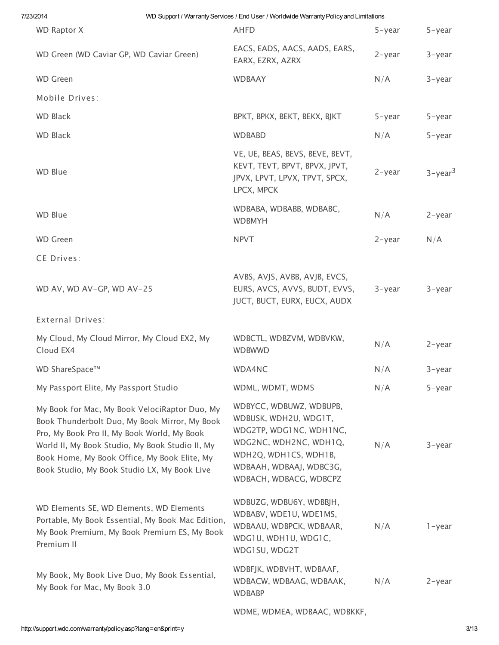| 7/23/2014                                                                                                                                                                                                                                                                                        | WD Support / Warranty Services / End User / Worldwide Warranty Policy and Limitations                                                                                               |            |                        |
|--------------------------------------------------------------------------------------------------------------------------------------------------------------------------------------------------------------------------------------------------------------------------------------------------|-------------------------------------------------------------------------------------------------------------------------------------------------------------------------------------|------------|------------------------|
| <b>WD Raptor X</b>                                                                                                                                                                                                                                                                               | AHFD                                                                                                                                                                                | $5 - year$ | $5 - year$             |
| WD Green (WD Caviar GP, WD Caviar Green)                                                                                                                                                                                                                                                         | EACS, EADS, AACS, AADS, EARS,<br>EARX, EZRX, AZRX                                                                                                                                   | $2$ -year  | 3-year                 |
| <b>WD Green</b>                                                                                                                                                                                                                                                                                  | <b>WDBAAY</b>                                                                                                                                                                       | N/A        | 3-year                 |
| Mobile Drives:                                                                                                                                                                                                                                                                                   |                                                                                                                                                                                     |            |                        |
| <b>WD Black</b>                                                                                                                                                                                                                                                                                  | BPKT, BPKX, BEKT, BEKX, BJKT                                                                                                                                                        | $5$ -year  | $5 - year$             |
| <b>WD Black</b>                                                                                                                                                                                                                                                                                  | <b>WDBABD</b>                                                                                                                                                                       | N/A        | $5 - year$             |
| <b>WD Blue</b>                                                                                                                                                                                                                                                                                   | VE, UE, BEAS, BEVS, BEVE, BEVT,<br>KEVT, TEVT, BPVT, BPVX, JPVT,<br>JPVX, LPVT, LPVX, TPVT, SPCX,<br>LPCX, MPCK                                                                     | $2$ -year  | $3$ -year <sup>3</sup> |
| WD Blue                                                                                                                                                                                                                                                                                          | WDBABA, WDBABB, WDBABC,<br><b>WDBMYH</b>                                                                                                                                            | N/A        | $2$ -year              |
| <b>WD Green</b>                                                                                                                                                                                                                                                                                  | <b>NPVT</b>                                                                                                                                                                         | $2$ -year  | N/A                    |
| CE Drives:                                                                                                                                                                                                                                                                                       |                                                                                                                                                                                     |            |                        |
| WD AV, WD AV-GP, WD AV-25                                                                                                                                                                                                                                                                        | AVBS, AVJS, AVBB, AVJB, EVCS,<br>EURS, AVCS, AVVS, BUDT, EVVS,<br>JUCT, BUCT, EURX, EUCX, AUDX                                                                                      | $3$ -year  | $3$ -year              |
| <b>External Drives:</b>                                                                                                                                                                                                                                                                          |                                                                                                                                                                                     |            |                        |
| My Cloud, My Cloud Mirror, My Cloud EX2, My<br>Cloud EX4                                                                                                                                                                                                                                         | WDBCTL, WDBZVM, WDBVKW,<br><b>WDBWWD</b>                                                                                                                                            | N/A        | 2-year                 |
| WD ShareSpace™                                                                                                                                                                                                                                                                                   | WDA4NC                                                                                                                                                                              | N/A        | $3$ -year              |
| My Passport Elite, My Passport Studio                                                                                                                                                                                                                                                            | WDML, WDMT, WDMS                                                                                                                                                                    | N/A        | 5-year                 |
| My Book for Mac, My Book VelociRaptor Duo, My<br>Book Thunderbolt Duo, My Book Mirror, My Book<br>Pro, My Book Pro II, My Book World, My Book<br>World II, My Book Studio, My Book Studio II, My<br>Book Home, My Book Office, My Book Elite, My<br>Book Studio, My Book Studio LX, My Book Live | WDBYCC, WDBUWZ, WDBUPB,<br>WDBUSK, WDH2U, WDG1T,<br>WDG2TP, WDG1NC, WDH1NC,<br>WDG2NC, WDH2NC, WDH1Q,<br>WDH2Q, WDH1CS, WDH1B,<br>WDBAAH, WDBAAJ, WDBC3G,<br>WDBACH, WDBACG, WDBCPZ | N/A        | 3-year                 |
| WD Elements SE, WD Elements, WD Elements<br>Portable, My Book Essential, My Book Mac Edition,<br>My Book Premium, My Book Premium ES, My Book<br>Premium II                                                                                                                                      | WDBUZG, WDBU6Y, WDBBJH,<br>WDBABV, WDE1U, WDE1MS,<br>WDBAAU, WDBPCK, WDBAAR,<br>WDG1U, WDH1U, WDG1C,<br>WDG1SU, WDG2T                                                               | N/A        | 1-year                 |
| My Book, My Book Live Duo, My Book Essential,<br>My Book for Mac, My Book 3.0                                                                                                                                                                                                                    | WDBFJK, WDBVHT, WDBAAF,<br>WDBACW, WDBAAG, WDBAAK,<br><b>WDBABP</b>                                                                                                                 | N/A        | 2-year                 |

WDME, WDMEA, WDBAAC, WDBKKF,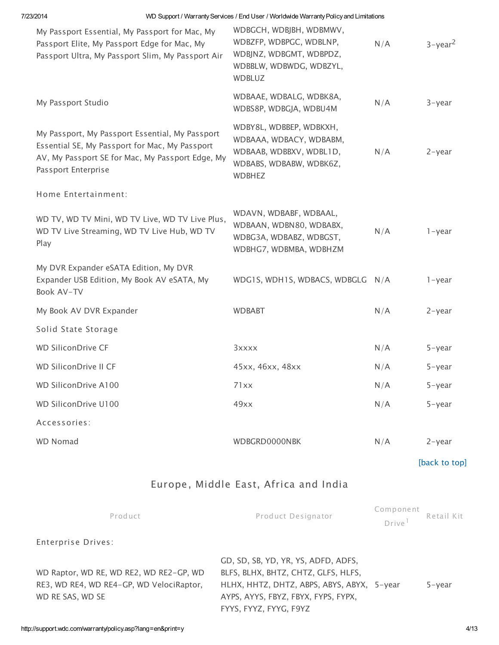7/23/2014 WD Support / Warranty Services / End User / Worldwide Warranty Policy and Limitations

| WDBGCH, WDBJBH, WDBMWV,<br>WDBZFP, WDBPGC, WDBLNP,<br>WDBJNZ, WDBGMT, WDBPDZ,<br>WDBBLW, WDBWDG, WDBZYL,<br>WDBLUZ        | N/A | $3 - year^2$                     |
|---------------------------------------------------------------------------------------------------------------------------|-----|----------------------------------|
| WDBAAE, WDBALG, WDBK8A,<br>WDBS8P, WDBGJA, WDBU4M                                                                         | N/A | $3$ -year                        |
| WDBY8L, WDBBEP, WDBKXH,<br>WDBAAA, WDBACY, WDBABM,<br>WDBAAB, WDBBXV, WDBL1D,<br>WDBABS, WDBABW, WDBK6Z,<br><b>WDBHEZ</b> | N/A | $2$ -year                        |
|                                                                                                                           |     |                                  |
| WDAVN, WDBABF, WDBAAL,<br>WDBAAN, WDBN 80, WDBABX,<br>WDBG3A, WDBABZ, WDBGST,<br>WDBHG7, WDBMBA, WDBHZM                   | N/A | $1 - year$                       |
|                                                                                                                           |     | 1-year                           |
| <b>WDBABT</b>                                                                                                             | N/A | $2$ -year                        |
|                                                                                                                           |     |                                  |
| 3xxxx                                                                                                                     | N/A | $5 - year$                       |
| 45xx, 46xx, 48xx                                                                                                          | N/A | $5 - year$                       |
| 71xx                                                                                                                      | N/A | $5 - year$                       |
| 49xx                                                                                                                      | N/A | $5 - year$                       |
|                                                                                                                           |     |                                  |
| WDBGRD0000NBK                                                                                                             | N/A | $2$ -year                        |
|                                                                                                                           |     | WDG1S, WDH1S, WDBACS, WDBGLG N/A |

[back to top]

# Europe, Middle East, Africa and India

| Product                                                                                                 | Product Designator                                                                                                                                                                        | Component<br>Drive | Retail Kit |
|---------------------------------------------------------------------------------------------------------|-------------------------------------------------------------------------------------------------------------------------------------------------------------------------------------------|--------------------|------------|
| Enterprise Drives:                                                                                      |                                                                                                                                                                                           |                    |            |
| WD Raptor, WD RE, WD RE2, WD RE2-GP, WD<br>RE3, WD RE4, WD RE4-GP, WD VelociRaptor,<br>WD RE SAS, WD SE | GD, SD, SB, YD, YR, YS, ADFD, ADFS,<br>BLFS, BLHX, BHTZ, CHTZ, GLFS, HLFS,<br>HLHX, HHTZ, DHTZ, ABPS, ABYS, ABYX, 5-year<br>AYPS, AYYS, FBYZ, FBYX, FYPS, FYPX,<br>FYYS, FYYZ, FYYG, F9YZ |                    | $5$ -vear  |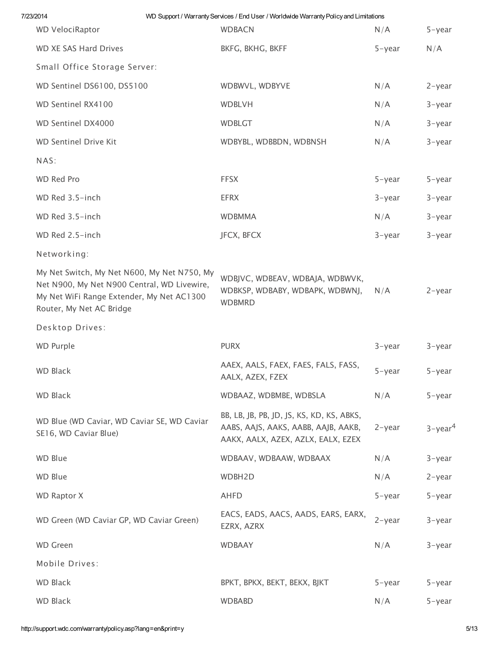| 7/23/2014                                                                                                                                                           | WD Support / Warranty Services / End User / Worldwide Warranty Policy and Limitations                                  |            |                        |
|---------------------------------------------------------------------------------------------------------------------------------------------------------------------|------------------------------------------------------------------------------------------------------------------------|------------|------------------------|
| <b>WD VelociRaptor</b>                                                                                                                                              | <b>WDBACN</b>                                                                                                          | N/A        | $5 - year$             |
| <b>WD XE SAS Hard Drives</b>                                                                                                                                        | BKFG, BKHG, BKFF                                                                                                       | $5 - year$ | N/A                    |
| Small Office Storage Server:                                                                                                                                        |                                                                                                                        |            |                        |
| WD Sentinel DS6100, DS5100                                                                                                                                          | WDBWVL, WDBYVE                                                                                                         | N/A        | $2$ -year              |
| WD Sentinel RX4100                                                                                                                                                  | <b>WDBLVH</b>                                                                                                          | N/A        | $3$ -year              |
| WD Sentinel DX4000                                                                                                                                                  | <b>WDBLGT</b>                                                                                                          | N/A        | $3$ -year              |
| <b>WD Sentinel Drive Kit</b>                                                                                                                                        | WDBYBL, WDBBDN, WDBNSH                                                                                                 | N/A        | $3$ -year              |
| NAS:                                                                                                                                                                |                                                                                                                        |            |                        |
| WD Red Pro                                                                                                                                                          | <b>FFSX</b>                                                                                                            | $5 - year$ | $5 - year$             |
| WD Red 3.5-inch                                                                                                                                                     | <b>EFRX</b>                                                                                                            | $3$ -year  | $3$ -year              |
| WD Red 3.5-inch                                                                                                                                                     | <b>WDBMMA</b>                                                                                                          | N/A        | $3$ -year              |
| WD Red 2.5-inch                                                                                                                                                     | JFCX, BFCX                                                                                                             | $3$ -year  | $3$ -year              |
| Networking:                                                                                                                                                         |                                                                                                                        |            |                        |
| My Net Switch, My Net N600, My Net N750, My<br>Net N900, My Net N900 Central, WD Livewire,<br>My Net WiFi Range Extender, My Net AC1300<br>Router, My Net AC Bridge | WDBJVC, WDBEAV, WDBAJA, WDBWVK,<br>WDBKSP, WDBABY, WDBAPK, WDBWNJ,<br><b>WDBMRD</b>                                    | N/A        | $2$ -year              |
| Desktop Drives:                                                                                                                                                     |                                                                                                                        |            |                        |
| <b>WD Purple</b>                                                                                                                                                    | <b>PURX</b>                                                                                                            | $3$ -year  | 3-year                 |
| <b>WD Black</b>                                                                                                                                                     | AAEX, AALS, FAEX, FAES, FALS, FASS,<br>AALX, AZEX, FZEX                                                                | $5 - year$ | $5 - year$             |
| <b>WD Black</b>                                                                                                                                                     | WDBAAZ, WDBMBE, WDBSLA                                                                                                 | N/A        | 5-year                 |
| WD Blue (WD Caviar, WD Caviar SE, WD Caviar<br>SE16, WD Caviar Blue)                                                                                                | BB, LB, JB, PB, JD, JS, KS, KD, KS, ABKS,<br>AABS, AAJS, AAKS, AABB, AAJB, AAKB,<br>AAKX, AALX, AZEX, AZLX, EALX, EZEX | $2$ -year  | $3$ -year <sup>4</sup> |
| <b>WD Blue</b>                                                                                                                                                      | WDBAAV, WDBAAW, WDBAAX                                                                                                 | N/A        | 3-year                 |
| <b>WD Blue</b>                                                                                                                                                      | WDBH2D                                                                                                                 | N/A        | $2$ -year              |
| <b>WD Raptor X</b>                                                                                                                                                  | <b>AHFD</b>                                                                                                            | $5 - year$ | $5 - year$             |
| WD Green (WD Caviar GP, WD Caviar Green)                                                                                                                            | EACS, EADS, AACS, AADS, EARS, EARX,<br>EZRX, AZRX                                                                      | $2$ -year  | $3$ -year              |
| <b>WD Green</b>                                                                                                                                                     | <b>WDBAAY</b>                                                                                                          | N/A        | $3$ -year              |
| Mobile Drives:                                                                                                                                                      |                                                                                                                        |            |                        |
| <b>WD Black</b>                                                                                                                                                     | BPKT, BPKX, BEKT, BEKX, BJKT                                                                                           | $5 - year$ | $5 - year$             |
| <b>WD Black</b>                                                                                                                                                     | <b>WDBABD</b>                                                                                                          | N/A        | 5-year                 |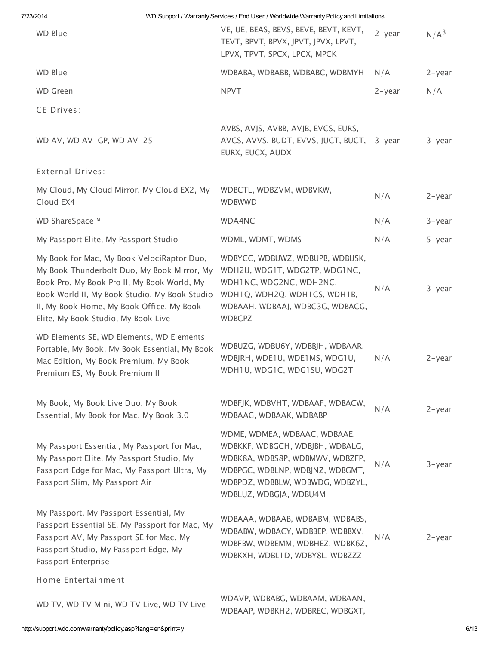| 7/23/2014 |                                                                                                                                                                                                                                                                               | WD Support / Warranty Services / End User / Worldwide Warranty Policy and Limitations                                                                                                              |           |                  |
|-----------|-------------------------------------------------------------------------------------------------------------------------------------------------------------------------------------------------------------------------------------------------------------------------------|----------------------------------------------------------------------------------------------------------------------------------------------------------------------------------------------------|-----------|------------------|
|           | <b>WD Blue</b>                                                                                                                                                                                                                                                                | VE, UE, BEAS, BEVS, BEVE, BEVT, KEVT,<br>TEVT, BPVT, BPVX, JPVT, JPVX, LPVT,<br>LPVX, TPVT, SPCX, LPCX, MPCK                                                                                       | $2$ -year | N/A <sup>3</sup> |
|           | <b>WD Blue</b>                                                                                                                                                                                                                                                                | WDBABA, WDBABB, WDBABC, WDBMYH                                                                                                                                                                     | N/A       | $2$ -year        |
|           | <b>WD Green</b>                                                                                                                                                                                                                                                               | <b>NPVT</b>                                                                                                                                                                                        | $2$ -year | N/A              |
|           | CE Drives:                                                                                                                                                                                                                                                                    |                                                                                                                                                                                                    |           |                  |
|           | WD AV, WD AV-GP, WD AV-25                                                                                                                                                                                                                                                     | AVBS, AVJS, AVBB, AVJB, EVCS, EURS,<br>AVCS, AVVS, BUDT, EVVS, JUCT, BUCT, 3-year<br>EURX, EUCX, AUDX                                                                                              |           | $3$ -year        |
|           | <b>External Drives:</b>                                                                                                                                                                                                                                                       |                                                                                                                                                                                                    |           |                  |
|           | My Cloud, My Cloud Mirror, My Cloud EX2, My<br>Cloud EX4                                                                                                                                                                                                                      | WDBCTL, WDBZVM, WDBVKW,<br><b>WDBWWD</b>                                                                                                                                                           | N/A       | $2$ -year        |
|           | WD ShareSpace™                                                                                                                                                                                                                                                                | WDA4NC                                                                                                                                                                                             | N/A       | $3$ -year        |
|           | My Passport Elite, My Passport Studio                                                                                                                                                                                                                                         | WDML, WDMT, WDMS                                                                                                                                                                                   | N/A       | $5 - year$       |
|           | My Book for Mac, My Book VelociRaptor Duo,<br>My Book Thunderbolt Duo, My Book Mirror, My<br>Book Pro, My Book Pro II, My Book World, My<br>Book World II, My Book Studio, My Book Studio<br>II, My Book Home, My Book Office, My Book<br>Elite, My Book Studio, My Book Live | WDBYCC, WDBUWZ, WDBUPB, WDBUSK,<br>WDH2U, WDG1T, WDG2TP, WDG1NC,<br>WDH1NC, WDG2NC, WDH2NC,<br>WDH1Q, WDH2Q, WDH1CS, WDH1B,<br>WDBAAH, WDBAAJ, WDBC3G, WDBACG,<br><b>WDBCPZ</b>                    | N/A       | $3$ -year        |
|           | WD Elements SE, WD Elements, WD Elements<br>Portable, My Book, My Book Essential, My Book<br>Mac Edition, My Book Premium, My Book<br>Premium ES, My Book Premium II                                                                                                          | WDBUZG, WDBU6Y, WDBBJH, WDBAAR,<br>WDBJRH, WDE1U, WDE1MS, WDG1U,<br>WDH1U, WDG1C, WDG1SU, WDG2T                                                                                                    | N/A       | 2-year           |
|           | My Book, My Book Live Duo, My Book<br>Essential, My Book for Mac, My Book 3.0                                                                                                                                                                                                 | WDBFJK, WDBVHT, WDBAAF, WDBACW,<br>WDBAAG, WDBAAK, WDBABP                                                                                                                                          | N/A       | $2$ -year        |
|           | My Passport Essential, My Passport for Mac,<br>My Passport Elite, My Passport Studio, My<br>Passport Edge for Mac, My Passport Ultra, My<br>Passport Slim, My Passport Air                                                                                                    | WDME, WDMEA, WDBAAC, WDBAAE,<br>WDBKKF, WDBGCH, WDBJBH, WDBALG,<br>WDBK8A, WDBS8P, WDBMWV, WDBZFP,<br>WDBPGC, WDBLNP, WDBJNZ, WDBGMT,<br>WDBPDZ, WDBBLW, WDBWDG, WDBZYL,<br>WDBLUZ, WDBGJA, WDBU4M | N/A       | 3-year           |
|           | My Passport, My Passport Essential, My<br>Passport Essential SE, My Passport for Mac, My<br>Passport AV, My Passport SE for Mac, My<br>Passport Studio, My Passport Edge, My<br>Passport Enterprise                                                                           | WDBAAA, WDBAAB, WDBABM, WDBABS,<br>WDBABW, WDBACY, WDBBEP, WDBBXV,<br>WDBFBW, WDBEMM, WDBHEZ, WDBK6Z,<br>WDBKXH, WDBL1D, WDBY8L, WDBZZZ                                                            | N/A       | $2$ -year        |
|           | Home Entertainment:                                                                                                                                                                                                                                                           |                                                                                                                                                                                                    |           |                  |
|           | WD TV, WD TV Mini, WD TV Live, WD TV Live                                                                                                                                                                                                                                     | WDAVP, WDBABG, WDBAAM, WDBAAN,<br>WDBAAP, WDBKH2, WDBREC, WDBGXT,                                                                                                                                  |           |                  |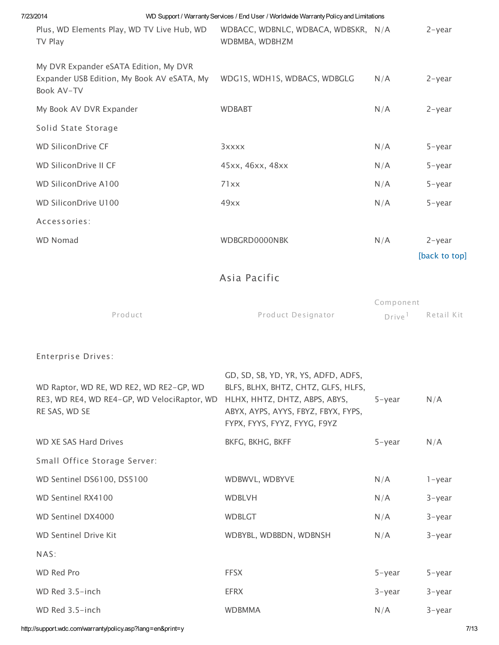| 7/23/2014                                                                                               | WD Support / Warranty Services / End User / Worldwide Warranty Policy and Limitations                                                                                              |                                 |                            |
|---------------------------------------------------------------------------------------------------------|------------------------------------------------------------------------------------------------------------------------------------------------------------------------------------|---------------------------------|----------------------------|
| Plus, WD Elements Play, WD TV Live Hub, WD<br>TV Play                                                   | WDBACC, WDBNLC, WDBACA, WDBSKR, N/A<br>WDBMBA, WDBHZM                                                                                                                              |                                 | $2$ -year                  |
| My DVR Expander eSATA Edition, My DVR<br>Expander USB Edition, My Book AV eSATA, My<br>Book AV-TV       | WDG1S, WDH1S, WDBACS, WDBGLG                                                                                                                                                       | N/A                             | $2$ -year                  |
| My Book AV DVR Expander                                                                                 | <b>WDBABT</b>                                                                                                                                                                      | N/A                             | $2$ -year                  |
| Solid State Storage                                                                                     |                                                                                                                                                                                    |                                 |                            |
| <b>WD SiliconDrive CF</b>                                                                               | 3xxxx                                                                                                                                                                              | N/A                             | $5 - year$                 |
| <b>WD SiliconDrive II CF</b>                                                                            | 45xx, 46xx, 48xx                                                                                                                                                                   | N/A                             | $5 - year$                 |
| WD SiliconDrive A100                                                                                    | 71xx                                                                                                                                                                               | N/A                             | $5 - year$                 |
| WD SiliconDrive U100                                                                                    | 49xx                                                                                                                                                                               | N/A                             | $5 - year$                 |
| Accessories:                                                                                            |                                                                                                                                                                                    |                                 |                            |
| <b>WD Nomad</b>                                                                                         | WDBGRD0000NBK                                                                                                                                                                      | N/A                             | $2$ -year<br>[back to top] |
|                                                                                                         | Asia Pacific                                                                                                                                                                       |                                 |                            |
| Product                                                                                                 | Product Designator                                                                                                                                                                 | Component<br>Drive <sup>1</sup> | Retail Kit                 |
| <b>Enterprise Drives:</b>                                                                               |                                                                                                                                                                                    |                                 |                            |
| WD Raptor, WD RE, WD RE2, WD RE2-GP, WD<br>RE3, WD RE4, WD RE4-GP, WD VelociRaptor, WD<br>RE SAS, WD SE | GD, SD, SB, YD, YR, YS, ADFD, ADFS,<br>BLFS, BLHX, BHTZ, CHTZ, GLFS, HLFS,<br>HLHX, HHTZ, DHTZ, ABPS, ABYS,<br>ABYX, AYPS, AYYS, FBYZ, FBYX, FYPS,<br>FYPX, FYYS, FYYZ, FYYG, F9YZ | $5 - year$                      | N/A                        |
| WD XE SAS Hard Drives                                                                                   | BKFG, BKHG, BKFF                                                                                                                                                                   | $5 - year$                      | N/A                        |
| Small Office Storage Server:                                                                            |                                                                                                                                                                                    |                                 |                            |
| WD Sentinel DS6100, DS5100                                                                              | WDBWVL, WDBYVE                                                                                                                                                                     | N/A                             | $1 - year$                 |
| WD Sentinel RX4100                                                                                      | <b>WDBLVH</b>                                                                                                                                                                      | N/A                             | $3$ -year                  |
| WD Sentinel DX4000                                                                                      | <b>WDBLGT</b>                                                                                                                                                                      | N/A                             | 3-year                     |
| <b>WD Sentinel Drive Kit</b>                                                                            | WDBYBL, WDBBDN, WDBNSH                                                                                                                                                             | N/A                             | $3$ -year                  |
| NAS:                                                                                                    |                                                                                                                                                                                    |                                 |                            |
| WD Red Pro                                                                                              | <b>FFSX</b>                                                                                                                                                                        | $5 - year$                      | $5 - year$                 |
| WD Red 3.5-inch                                                                                         | <b>EFRX</b>                                                                                                                                                                        | $3$ -year                       | $3$ -year                  |
| WD Red 3.5-inch                                                                                         | <b>WDBMMA</b>                                                                                                                                                                      | N/A                             | 3-year                     |

http://support.wdc.com/warranty/policy.asp?lang=en&print=y 7/13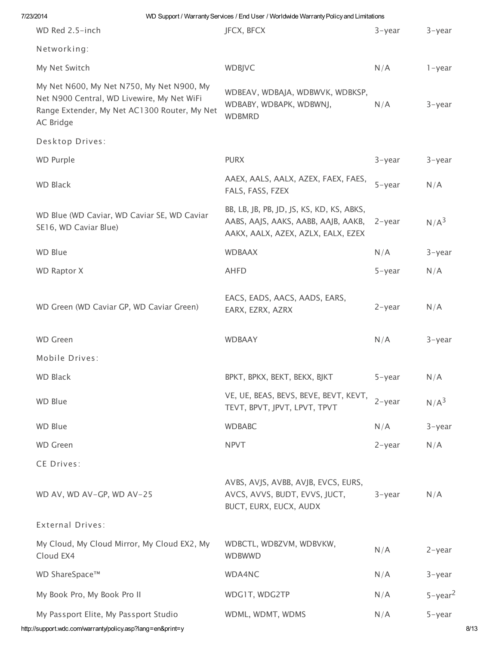| 7/23/2014                                                                                                                                            | WD Support / Warranty Services / End User / Worldwide Warranty Policy and Limitations                                  |            |                  |
|------------------------------------------------------------------------------------------------------------------------------------------------------|------------------------------------------------------------------------------------------------------------------------|------------|------------------|
| WD Red 2.5-inch                                                                                                                                      | JFCX, BFCX                                                                                                             | $3$ -year  | 3-year           |
| Networking:                                                                                                                                          |                                                                                                                        |            |                  |
| My Net Switch                                                                                                                                        | WDBJVC                                                                                                                 | N/A        | 1-year           |
| My Net N600, My Net N750, My Net N900, My<br>Net N900 Central, WD Livewire, My Net WiFi<br>Range Extender, My Net AC1300 Router, My Net<br>AC Bridge | WDBEAV, WDBAJA, WDBWVK, WDBKSP,<br>WDBABY, WDBAPK, WDBWNJ,<br><b>WDBMRD</b>                                            | N/A        | 3-year           |
| Desktop Drives:                                                                                                                                      |                                                                                                                        |            |                  |
| <b>WD Purple</b>                                                                                                                                     | <b>PURX</b>                                                                                                            | $3$ -year  | $3$ -year        |
| <b>WD Black</b>                                                                                                                                      | AAEX, AALS, AALX, AZEX, FAEX, FAES,<br>FALS, FASS, FZEX                                                                | $5 - year$ | N/A              |
| WD Blue (WD Caviar, WD Caviar SE, WD Caviar<br>SE16, WD Caviar Blue)                                                                                 | BB, LB, JB, PB, JD, JS, KS, KD, KS, ABKS,<br>AABS, AAJS, AAKS, AABB, AAJB, AAKB,<br>AAKX, AALX, AZEX, AZLX, EALX, EZEX | $2$ -year  | N/A <sup>3</sup> |
| <b>WD Blue</b>                                                                                                                                       | <b>WDBAAX</b>                                                                                                          | N/A        | $3$ -year        |
| <b>WD Raptor X</b>                                                                                                                                   | <b>AHFD</b>                                                                                                            | $5 - year$ | N/A              |
| WD Green (WD Caviar GP, WD Caviar Green)                                                                                                             | EACS, EADS, AACS, AADS, EARS,<br>EARX, EZRX, AZRX                                                                      | $2$ -year  | N/A              |
| <b>WD Green</b>                                                                                                                                      | <b>WDBAAY</b>                                                                                                          | N/A        | 3-year           |
| Mobile Drives:                                                                                                                                       |                                                                                                                        |            |                  |
| WD Black                                                                                                                                             | BPKT, BPKX, BEKT, BEKX, BJKT                                                                                           | 5-year     | N/A              |
| WD Blue                                                                                                                                              | VE, UE, BEAS, BEVS, BEVE, BEVT, KEVT,<br>TEVT, BPVT, JPVT, LPVT, TPVT                                                  | 2-year     | N/A <sup>3</sup> |
| <b>WD Blue</b>                                                                                                                                       | <b>WDBABC</b>                                                                                                          | N/A        | $3$ -year        |
| <b>WD Green</b>                                                                                                                                      | <b>NPVT</b>                                                                                                            | $2$ -year  | N/A              |
| CE Drives:                                                                                                                                           |                                                                                                                        |            |                  |
| WD AV, WD AV-GP, WD AV-25                                                                                                                            | AVBS, AVJS, AVBB, AVJB, EVCS, EURS,<br>AVCS, AVVS, BUDT, EVVS, JUCT,<br>BUCT, EURX, EUCX, AUDX                         | $3$ -year  | N/A              |
| <b>External Drives:</b>                                                                                                                              |                                                                                                                        |            |                  |
| My Cloud, My Cloud Mirror, My Cloud EX2, My<br>Cloud EX4                                                                                             | WDBCTL, WDBZVM, WDBVKW,<br><b>WDBWWD</b>                                                                               | N/A        | 2-year           |
| WD ShareSpace™                                                                                                                                       | WDA4NC                                                                                                                 | N/A        | $3$ -year        |
| My Book Pro, My Book Pro II                                                                                                                          | WDG1T, WDG2TP                                                                                                          | N/A        | $5 - year^2$     |
| My Passport Elite, My Passport Studio                                                                                                                | WDML, WDMT, WDMS                                                                                                       | N/A        | $5 - year$       |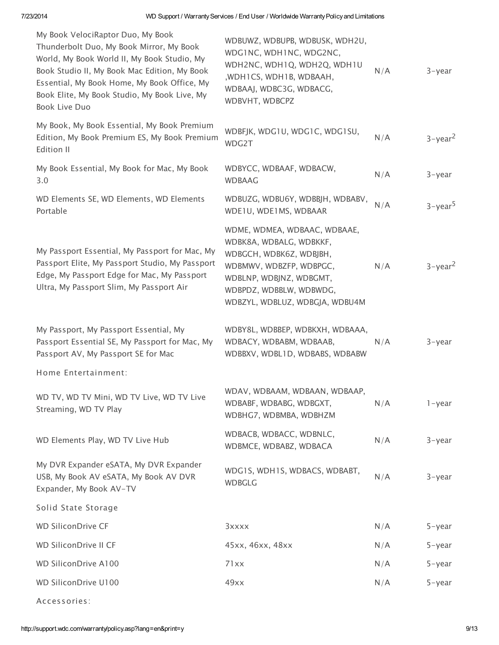| My Book VelociRaptor Duo, My Book<br>Thunderbolt Duo, My Book Mirror, My Book<br>World, My Book World II, My Book Studio, My<br>Book Studio II, My Book Mac Edition, My Book<br>Essential, My Book Home, My Book Office, My<br>Book Elite, My Book Studio, My Book Live, My<br><b>Book Live Duo</b> | WDBUWZ, WDBUPB, WDBUSK, WDH2U,<br>WDG1NC, WDH1NC, WDG2NC,<br>WDH2NC, WDH1Q, WDH2Q, WDH1U<br>, WDHICS, WDHIB, WDBAAH,<br>WDBAAJ, WDBC3G, WDBACG,<br>WDBVHT, WDBCPZ                                     | N/A | 3-year                 |
|-----------------------------------------------------------------------------------------------------------------------------------------------------------------------------------------------------------------------------------------------------------------------------------------------------|-------------------------------------------------------------------------------------------------------------------------------------------------------------------------------------------------------|-----|------------------------|
| My Book, My Book Essential, My Book Premium<br>Edition, My Book Premium ES, My Book Premium<br>Edition II                                                                                                                                                                                           | WDBFJK, WDG1U, WDG1C, WDG1SU,<br>WDG2T                                                                                                                                                                | N/A | $3$ -year <sup>2</sup> |
| My Book Essential, My Book for Mac, My Book<br>3.0                                                                                                                                                                                                                                                  | WDBYCC, WDBAAF, WDBACW,<br><b>WDBAAG</b>                                                                                                                                                              | N/A | 3-year                 |
| WD Elements SE, WD Elements, WD Elements<br>Portable                                                                                                                                                                                                                                                | WDBUZG, WDBU6Y, WDBBJH, WDBABV,<br>WDE1U, WDE1MS, WDBAAR                                                                                                                                              | N/A | 3-year <sup>5</sup>    |
| My Passport Essential, My Passport for Mac, My<br>Passport Elite, My Passport Studio, My Passport<br>Edge, My Passport Edge for Mac, My Passport<br>Ultra, My Passport Slim, My Passport Air                                                                                                        | WDME, WDMEA, WDBAAC, WDBAAE,<br>WDBK8A, WDBALG, WDBKKF,<br>WDBGCH, WDBK6Z, WDBJBH,<br>WDBMWV, WDBZFP, WDBPGC,<br>WDBLNP, WDBJNZ, WDBGMT,<br>WDBPDZ, WDBBLW, WDBWDG,<br>WDBZYL, WDBLUZ, WDBGJA, WDBU4M | N/A | $3$ -year <sup>2</sup> |
| My Passport, My Passport Essential, My<br>Passport Essential SE, My Passport for Mac, My<br>Passport AV, My Passport SE for Mac                                                                                                                                                                     | WDBY8L, WDBBEP, WDBKXH, WDBAAA,<br>WDBACY, WDBABM, WDBAAB,<br>WDBBXV, WDBL1D, WDBABS, WDBABW                                                                                                          | N/A | 3-year                 |
| Home Entertainment:                                                                                                                                                                                                                                                                                 |                                                                                                                                                                                                       |     |                        |
| WD TV, WD TV Mini, WD TV Live, WD TV Live<br>Streaming, WD TV Play                                                                                                                                                                                                                                  | WDAV, WDBAAM, WDBAAN, WDBAAP,<br>WDBABF, WDBABG, WDBGXT,<br>WDBHG7, WDBMBA, WDBHZM                                                                                                                    | N/A | $1 - year$             |
| WD Elements Play, WD TV Live Hub                                                                                                                                                                                                                                                                    | WDBACB, WDBACC, WDBNLC,<br>WDBMCE, WDBABZ, WDBACA                                                                                                                                                     | N/A | $3$ -year              |
| My DVR Expander eSATA, My DVR Expander<br>USB, My Book AV eSATA, My Book AV DVR<br>Expander, My Book AV-TV                                                                                                                                                                                          | WDG1S, WDH1S, WDBACS, WDBABT,<br><b>WDBGLG</b>                                                                                                                                                        | N/A | 3-year                 |
| Solid State Storage                                                                                                                                                                                                                                                                                 |                                                                                                                                                                                                       |     |                        |
| <b>WD SiliconDrive CF</b>                                                                                                                                                                                                                                                                           | 3xxxx                                                                                                                                                                                                 | N/A | $5 - year$             |
| <b>WD SiliconDrive II CF</b>                                                                                                                                                                                                                                                                        | 45xx, 46xx, 48xx                                                                                                                                                                                      | N/A | $5 - year$             |
| WD SiliconDrive A100                                                                                                                                                                                                                                                                                | 71xx                                                                                                                                                                                                  | N/A | $5 - year$             |
| WD SiliconDrive U100                                                                                                                                                                                                                                                                                | 49xx                                                                                                                                                                                                  | N/A | $5 - year$             |
|                                                                                                                                                                                                                                                                                                     |                                                                                                                                                                                                       |     |                        |

Accessories: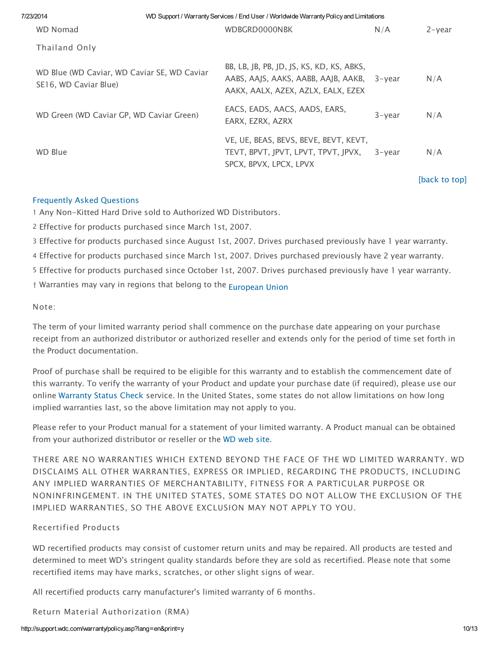| 7/23/2014                                                            | WD Support / Warranty Services / End User / Worldwide Warranty Policy and Limitations                                         |           |           |
|----------------------------------------------------------------------|-------------------------------------------------------------------------------------------------------------------------------|-----------|-----------|
| WD Nomad                                                             | WDBGRD0000NBK                                                                                                                 | N/A       | $2$ -year |
| Thailand Only                                                        |                                                                                                                               |           |           |
| WD Blue (WD Caviar, WD Caviar SE, WD Caviar<br>SE16, WD Caviar Blue) | BB, LB, JB, PB, JD, JS, KS, KD, KS, ABKS,<br>AABS, AAJS, AAKS, AABB, AAJB, AAKB, 3-year<br>AAKX, AALX, AZEX, AZLX, EALX, EZEX |           | N/A       |
| WD Green (WD Caviar GP, WD Caviar Green)                             | EACS, EADS, AACS, AADS, EARS,<br>EARX, EZRX, AZRX                                                                             | $3$ -year | N/A       |
| <b>WD Blue</b>                                                       | VE, UE, BEAS, BEVS, BEVE, BEVT, KEVT,<br>TEVT, BPVT, JPVT, LPVT, TPVT, JPVX,<br>SPCX, BPVX, LPCX, LPVX                        | $3$ -year | N/A       |
|                                                                      |                                                                                                                               |           |           |

# [back to top]

# [Frequently](http://support.wdc.com/warranty/faq_apac.asp?lang=en) Asked Questions

1 Any Non-Kitted Hard Drive sold to Authorized WD Distributors.

2 Effective for products purchased since March 1st, 2007.

3 Effective for products purchased since August 1st, 2007. Drives purchased previously have 1 year warranty.

4 Effective for products purchased since March 1st, 2007. Drives purchased previously have 2 year warranty.

5 Effective for products purchased since October 1st, 2007. Drives purchased previously have 1 year warranty.

† Warranties may vary in regions that belong to the [European](javascript:WinOpen() Union

# Note:

The term of your limited warranty period shall commence on the purchase date appearing on your purchase receipt from an authorized distributor or authorized reseller and extends only for the period of time set forth in the Product documentation.

Proof of purchase shall be required to be eligible for this warranty and to establish the commencement date of this warranty. To verify the warranty of your Product and update your purchase date (if required), please use our online [Warranty](http://websupport.wdc.com/warranty/serialinput.asp?custtype=end&requesttype=warranty&lang=en) Status Check service. In the United States, some states do not allow limitations on how long implied warranties last, so the above limitation may not apply to you.

Please refer to your Product manual for a statement of your limited warranty. A Product manual can be obtained from your authorized distributor or reseller or the WD [web](http://www.wdc.com/) site.

THERE ARE NO WARRANTIES WHICH EXTEND BEYOND THE FACE OF THE WD LIMITED WARRANTY. WD DISCLAIMS ALL OTHER WARRANTIES, EXPRESS OR IMPLIED, REGARDING THE PRODUCTS, INCLUDING ANY IMPLIED WARRANTIES OF MERCHANTABILITY, FITNESS FOR A PARTICULAR PURPOSE OR NONINFRINGEMENT. IN THE UNITED STATES, SOME STATES DO NOT ALLOW THE EXCLUSION OF THE IMPLIED WARRANTIES, SO THE ABOVE EXCLUSION MAY NOT APPLY TO YOU.

# Recertified Products

WD recertified products may consist of customer return units and may be repaired. All products are tested and determined to meet WD's stringent quality standards before they are sold as recertified. Please note that some recertified items may have marks, scratches, or other slight signs of wear.

All recertified products carry manufacturer's limited warranty of 6 months.

Return Material Authorization (RMA)

## http://support.wdc.com/warranty/policy.asp?lang=en&print=y 10/13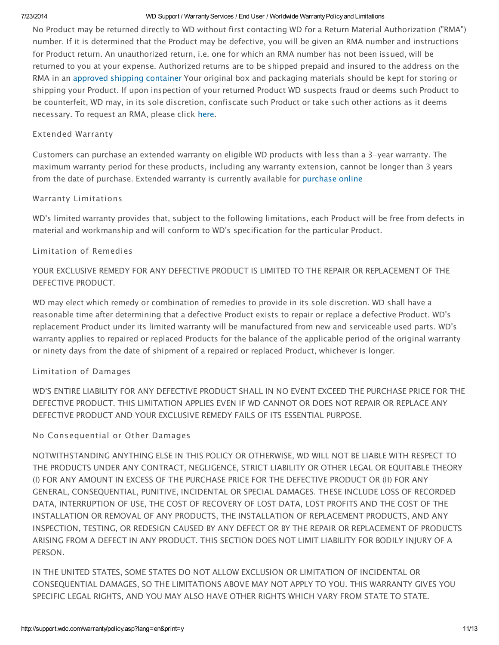### 7/23/2014 WD Support / WarrantyServices / End User / Worldwide WarrantyPolicyand Limitations

No Product may be returned directly to WD without first contacting WD for a Return Material Authorization ("RMA") number. If it is determined that the Product may be defective, you will be given an RMA number and instructions for Product return. An unauthorized return, i.e. one for which an RMA number has not been issued, will be returned to you at your expense. Authorized returns are to be shipped prepaid and insured to the address on the RMA in an approved shipping [container](http://support.wdc.com/warranty/rmapacking.asp?custtype=end&lang=en) Your original box and packaging materials should be kept for storing or shipping your Product. If upon inspection of your returned Product WD suspects fraud or deems such Product to be counterfeit, WD may, in its sole discretion, confiscate such Product or take such other actions as it deems necessary. To request an RMA, please click [here.](http://support.wdc.com/warranty/index.asp?lang=en)

# Extended Warranty

Customers can purchase an extended warranty on eligible WD products with less than a 3-year warranty. The maximum warranty period for these products, including any warranty extension, cannot be longer than 3 years from the date of purchase. Extended warranty is currently available for [purchase](http://websupport.wdc.com/store/extwarranty/index.asp?custtype=end&lang=en) online

# Warranty Limitations

WD's limited warranty provides that, subject to the following limitations, each Product will be free from defects in material and workmanship and will conform to WD's specification for the particular Product.

# Limitation of Remedies

YOUR EXCLUSIVE REMEDY FOR ANY DEFECTIVE PRODUCT IS LIMITED TO THE REPAIR OR REPLACEMENT OF THE DEFECTIVE PRODUCT.

WD may elect which remedy or combination of remedies to provide in its sole discretion. WD shall have a reasonable time after determining that a defective Product exists to repair or replace a defective Product. WD's replacement Product under its limited warranty will be manufactured from new and serviceable used parts. WD's warranty applies to repaired or replaced Products for the balance of the applicable period of the original warranty or ninety days from the date of shipment of a repaired or replaced Product, whichever is longer.

# Limitation of Damages

WD'S ENTIRE LIABILITY FOR ANY DEFECTIVE PRODUCT SHALL IN NO EVENT EXCEED THE PURCHASE PRICE FOR THE DEFECTIVE PRODUCT. THIS LIMITATION APPLIES EVEN IF WD CANNOT OR DOES NOT REPAIR OR REPLACE ANY DEFECTIVE PRODUCT AND YOUR EXCLUSIVE REMEDY FAILS OF ITS ESSENTIAL PURPOSE.

# No Consequential or Other Damages

NOTWITHSTANDING ANYTHING ELSE IN THIS POLICY OR OTHERWISE, WD WILL NOT BE LIABLE WITH RESPECT TO THE PRODUCTS UNDER ANY CONTRACT, NEGLIGENCE, STRICT LIABILITY OR OTHER LEGAL OR EQUITABLE THEORY (I) FOR ANY AMOUNT IN EXCESS OF THE PURCHASE PRICE FOR THE DEFECTIVE PRODUCT OR (II) FOR ANY GENERAL, CONSEQUENTIAL, PUNITIVE, INCIDENTAL OR SPECIAL DAMAGES. THESE INCLUDE LOSS OF RECORDED DATA, INTERRUPTION OF USE, THE COST OF RECOVERY OF LOST DATA, LOST PROFITS AND THE COST OF THE INSTALLATION OR REMOVAL OF ANY PRODUCTS, THE INSTALLATION OF REPLACEMENT PRODUCTS, AND ANY INSPECTION, TESTING, OR REDESIGN CAUSED BY ANY DEFECT OR BY THE REPAIR OR REPLACEMENT OF PRODUCTS ARISING FROM A DEFECT IN ANY PRODUCT. THIS SECTION DOES NOT LIMIT LIABILITY FOR BODILY INJURY OF A PERSON.

IN THE UNITED STATES, SOME STATES DO NOT ALLOW EXCLUSION OR LIMITATION OF INCIDENTAL OR CONSEQUENTIAL DAMAGES, SO THE LIMITATIONS ABOVE MAY NOT APPLY TO YOU. THIS WARRANTY GIVES YOU SPECIFIC LEGAL RIGHTS, AND YOU MAY ALSO HAVE OTHER RIGHTS WHICH VARY FROM STATE TO STATE.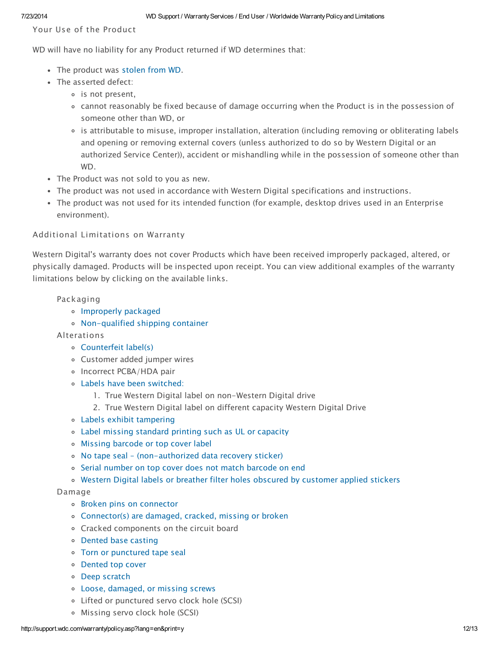Your Use of the Product

WD will have no liability for any Product returned if WD determines that:

- The product was [stolen](http://support.wdc.com/warranty/stolen.asp?lang=en) from WD.
- The asserted defect:
	- is not present,
	- cannot reasonably be fixed because of damage occurring when the Product is in the possession of someone other than WD, or
	- is attributable to misuse, improper installation, alteration (including removing or obliterating labels and opening or removing external covers (unless authorized to do so by Western Digital or an authorized Service Center)), accident or mishandling while in the possession of someone other than WD.
- The Product was not sold to you as new.
- The product was not used in accordance with Western Digital specifications and instructions.
- The product was not used for its intended function (for example, desktop drives used in an Enterprise environment).

# Additional Limitations on Warranty

Western Digital's warranty does not cover Products which have been received improperly packaged, altered, or physically damaged. Products will be inspected upon receipt. You can view additional examples of the warranty limitations below by clicking on the available links.

## Packaging

- [Improperly](http://support.wdc.com/warranty/rmapics.asp?lang=en#intpkg) packaged
- [Non-qualified](http://support.wdc.com/warranty/rmapics.asp?lang=en#extpkg) shipping container
- Alterations
	- [Counterfeit](http://support.wdc.com/warranty/rmapics.asp?lang=en#fraud) label(s)
	- Customer added jumper wires
	- o Incorrect PCBA/HDA pair
	- Labels have been [switched:](http://support.wdc.com/warranty/rmapics.asp?lang=en#fraud)
		- 1. True Western Digital label on non-Western Digital drive
		- 2. True Western Digital label on different capacity Western Digital Drive
	- Labels exhibit [tampering](http://support.wdc.com/warranty/rmapics.asp?lang=en#fraud)
	- Label missing [standard](http://support.wdc.com/warranty/rmapics.asp?lang=en#drivelabel) printing such as UL or capacity
	- Missing [barcode](http://support.wdc.com/warranty/rmapics.asp?lang=en#drivelabel) or top cover label
	- No tape seal [\(non-authorized](http://support.wdc.com/warranty/rmapics.asp?lang=en#tapeseal) data recovery sticker)
	- Serial number on top cover does not match [barcode](http://support.wdc.com/warranty/rmapics.asp?lang=en#fraud) on end
	- Western Digital labels or breather filter holes obscured by [customer](http://support.wdc.com/warranty/rmapics.asp?lang=en#drivelabel) applied stickers

## Damage

- Broken pins on [connector](http://support.wdc.com/warranty/rmapics.asp?lang=en#connector)
- [Connector\(s\)](http://support.wdc.com/warranty/rmapics.asp?lang=en#connector) are damaged, cracked, missing or broken
- Cracked components on the circuit board
- Dented base [casting](http://support.wdc.com/warranty/rmapics.asp?lang=en#basecasting)
- Torn or [punctured](http://support.wdc.com/warranty/rmapics.asp?lang=en#tapeseal) tape seal
- [Dented](http://support.wdc.com/warranty/rmapics.asp?lang=en#topcover) top cover
- Deep [scratch](http://support.wdc.com/warranty/rmapics.asp?lang=en#basecasting)
- Loose, [damaged,](http://support.wdc.com/warranty/rmapics.asp?lang=en#pcba) or missing screws
- Lifted or punctured servo clock hole (SCSI)
- Missing servo clock hole (SCSI)